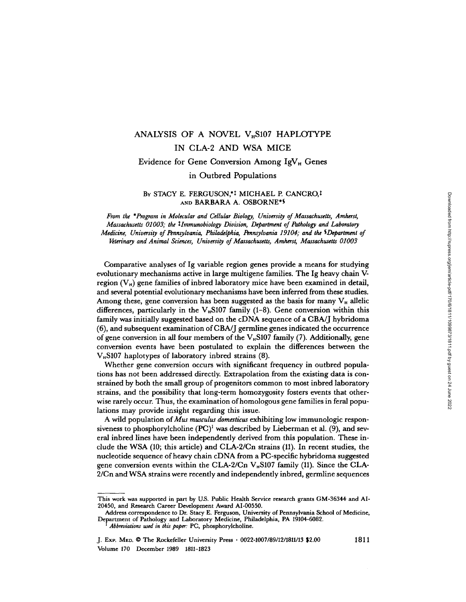# ANALYSIS OF A NOVEL  $V<sub>H</sub>$ S107 HAPLOTYPE IN CLA-2 AND WSA MICE

# Evidence for Gene Conversion Among I9V H Genes

## in Outbred Populations

# BY STACY E. FERGUSON,\*1 MICHAEL P. CANCRO,1 AND BARBARA A. OSBORNE'S

From the \*Program in Molecular and Cellular Biology, University of Massachusetts, Amherst, Massachusetts 01003; the tlmmunobiology Division, Department of Pathology and Laboratory Medicine, University of Pennsylvania, Philadelphia, Pennsylvania 19104; and the SDepartment of Veterinary and Animal Sciences, University of Massachusetts, Amherst, Massachusetts 01003

Comparative analyses of Ig variable region genes provide a means for studying evolutionary mechanisms active in large multigene families . The Ig heavy chain Vregion  $(V_H)$  gene families of inbred laboratory mice have been examined in detail, and several potential evolutionary mechanisms have been inferred from these studies . Among these, gene conversion has been suggested as the basis for many  $V_H$  allelic differences, particularly in the V<sub>H</sub>S107 family (1-8). Gene conversion within this family was initially suggested based on the cDNA sequence of a CBA/J hybridoma (6), and subsequent examination of CBA/J germline genes indicated the occurrence of gene conversion in all four members of the V<sub>H</sub>S107 family (7). Additionally, gene conversion events have been postulated to explain the differences between the  $V_{\text{H}}$ S107 haplotypes of laboratory inbred strains (8).

Whether gene conversion occurs with significant frequency in outbred populations has not been addressed directly. Extrapolation from the existing data is constrained by both the small group of progenitors common to most inbred laboratory strains, and the possibility that long-term homozygosity fosters events that otherwise rarely occur. Thus, the examination of homologous gene families in feral populations may provide insight regarding this issue.

A wild population of Mus musculus domesticus exhibiting low immunologic responsiveness to phosphorylcholine  $(PC)^1$  was described by Lieberman et al. (9), and several inbred lines have been independently derived from this population . These include the WSA (10; this article) and CLA-2/Cn strains (11) . In recent studies, the nucleotide sequence of heavy chain cDNA from a PC-specific hybridoma suggested gene conversion events within the CLA-2/Cn  $V_H$ S107 family (11). Since the CLA-2/Cn and WSA strains were recently and independently inbred, germline sequences

This work was supported in part by US . Public Health Service research grants GM-36344 and Al-20450, and Research Career Development Award Al-00550.

Address correspondence to Dr . Stacy E . Ferguson, University of Pennsylvania School of Medicine, Department of Pathology and Laboratory Medicine, Philadelphia, PA 19104-6082 .

Abbreviations used in this paper: PC, phosphorylcholine.

J. Exp. Med. © The Rockefeller University Press · 0022-1007/89/12/1811/13 \$2.00 1811 Volume 170 December 1989 1811-1823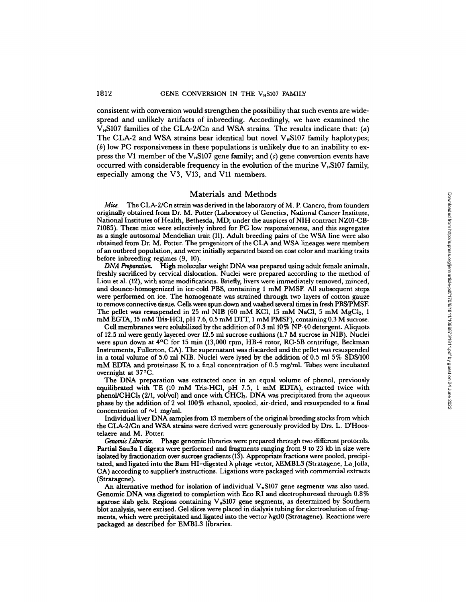## 1812 **GENE CONVERSION IN THE V<sub>H</sub>S107 FAMILY**

consistent with conversion would strengthen the possibility that such events are wide-<br>spread and unlikely artifacts of inbreeding. Accordingly, we have examined the  $V<sub>H</sub>$ S107 families of the CLA-2/Cn and WSA strains. The results indicate that: (a) The CLA-2 and WSA strains bear identical but novel  $V_{\text{H}}$ S107 family haplotypes;  $(b)$  low PC responsiveness in these populations is unlikely due to an inability to express the V1 member of the V<sub><sup>B</sub>S107</sup> gene family; and (c) gene conversion events have</sub> occurred with considerable frequency in the evolution of the murine  $V_{\text{H}}$ S107 family, especially among the V3, V13, and Vll members.

#### Materials and Methods

Mice. The CLA-2/Cn strain was derived in the laboratory of M. P. Cancro, from founders<br>iginally obtained from Dr. M. Potter (Lobomtony of Constitute Mational Cancer Institute originally obtained from Dr. M. Potter (Laboratory of Genetics, National Cancer Institute, National Institutes of Health, Bethesda, MD; under the auspices of NIH contract NZ01-CB-71085). These mice were selectively inbred for PC low responsiveness, and this segregates as a single autosomal Mendelian trait (11) . Adult breeding pairs of the WSA line were also obtained from Dr. M. Potter. The progenitors of the CLA and WSA lineages were members ofan outbred population, and were initially separated based on coat color and marking traits before inbreeding regimes  $(9, 10)$ . *Mia*. The CLA-2/Cra strain was sterived from the boson of Schedule as described from D. A. Poston (Archiven Content from D. A. Noticle (Archiven Schedule Archiven Schedule Archiven Chemical Case (and the sequence in the

DNA Preparation. High molecular weight DNA was prepared using adult female animals, freshly sacrificed by cervical dislocation . Nuclei were prepared according to the method of Liou et al. (12), with some modifications. Briefly, livers were immediately removed, minced, and dounce-homogenized in ice-cold PBS, containing <sup>1</sup> mM PMSF. All subsequent steps were performed on ice. The homogenate was strained through two layers of cotton gauze to remove connective tissue. Cells were spun down andwashed several times in fresh PBS/PMSE The pellet was resuspended in 25 ml NIB (60 mM KCl, 15 mM NaCl, 5 mM MgCl<sub>2</sub>, 1<br>
2 MM ReCTA 15 mM This UCl a U.7 6 0.5 mM NTT 1 mM NACl, 5 mM MgCl<sub>2</sub>, 1 mM EGTA, 15 mM Tris-HCl, pH 7.6, 0.5 mM DTT, 1 mM PMSF), containing 0.3 M sucrose.

Cell membranes were solubilized by the addition of 0.3 ml 10% NP-40 detergent. Aliquots of 12.5 ml were gently layered over 12.5 ml successions (1.7 M succession: 1 in quote<br>of 12.5 ml sucrose cushions (1.7 M sucrose cushions (1.7 M sucrose in NIB). Nuclei were spun down at 4°C for <sup>15</sup> min (13,000 rpm, HB-4 rotor, RC-5B centrifuge, Beckman Instruments, Fullerton, CA). The supernatant was discarded and the pellet was resuspended in a total volume of 5.0 ml NIB. Nuclei were lysed by the addition of  $0.5$  ml 5% SDS/100 mM EDTA and proteinase K to a final concentration of 0.5 mg/ml. Tubes were incubated overnight at 37 ° C .

The DNA preparation was extracted once in an equal volume of phenol, previously equilibrated with TE (10 mM Tris-HCl, pH 7.5, 1 mM EDTA), extracted twice with phenol/CHC13 (2/1, vol/vol) and once with CHC13 . DNA was precipitated from the aqueous phase by the addition of <sup>2</sup> vol 100% ethanol, spooled, air-dried, and resuspended to a final concentration of  $\sim$ 1 mg/ml.

Individual liver DNA samples from <sup>13</sup> members ofthe original breeding stocks from which the CLA-2/Cn and WSA strains were derived were generously provided by Drs. L. <sup>D</sup>'Hoostelaere and M. Potter.

Genomic Libraries. Phage genomic libraries were prepared through two different protocols. Partial Sau3a <sup>I</sup> digests were performed and fragments ranging from 9 to 23 kb in size were isolated by fractionation over sucrose gradients (13). Appropriate fractions were pooled, precipitated, and ligated into the Bam HI-digested X phage vector, XEMBL3 (Stratagene, LaJolla, CA) according to supplier's instructions . Ligations were packaged with commercial extracts (Stratagene).

An alternative method for isolation of individual  $V_{\mu}$ S107 gene segments was also used. Genomic DNA was digested to completion with Eco RI and electrophoresed through 0.8% agarose slab gels. Regions containing V<sub>B107</sub> gene segments, as determined by Southern blot analysis, were excised. Gel slices were placed in dialysis tubing for electroelution of fragments, which were precipitated and ligated into the vector  $\lambda$ gt10 (Stratagene). Reactions were packaged as described for EMBL3 libraries.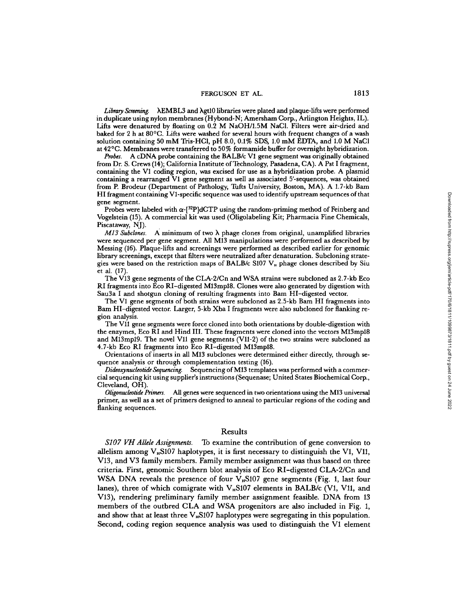Library Screening.  $\Lambda$ EMBL3 and  $\lambda$ gt10 libraries were plated and plaque-lifts were performed in duplicate using nylon membranes (Hybond-N; Amersham Corp., Arlington Heights, IL) . Lifts were denatured by floating on 0.2 M NaOH/1.5M NaCl. Filters were air-dried and<br>heled for 0 h at 900C. Lifts was worked for sumple have with frequent shapes of s work baked for 2 h at 80<sup>o</sup>C. Lifts were washed for several hours with frequent changes of a wash sultion containing 50 mM Tris-HCl, pH 8.0, 0.1% SDS, 1.0 mM EDTA, and 1.0 M NaCl<br>solution containing 50 mM Tris-HCl, pH 8.0, 0.1% SDS, 1.0 mM EDTA, and 1.0 M NaCl at 42 ° C. Membranes were transferred to 50 % formamide buffer for overnight hybridization.

*Probes.* A cDNA probe containing the BALB/c V1 gene segment was originally obtained from Dr. S. Crews (14); California Institute of Technology, Pasadena, CA). A Pst I fragment, containing the VI coding region, was excised for use as <sup>a</sup> hybridization probe. A plasmid containing <sup>a</sup> rearranged VI gene segment as well as associated <sup>5</sup>'-sequences, was obtained from P. Brodeur (Department of Pathology, Tufts University, Boston, MA). A 1.7-kb Bam HI fragment containing VI-specific sequence was used to identify upstream sequences ofthat gene segment.

Probes were labeled with  $\alpha$ -[<sup>32</sup>P]dCTP using the random-priming method of Feinberg and Vogelstein (15) . A commercial kit was used (Oligolabeling Kit ; Pharmacia Fine Chemicals, Piscataway, NJ).<br>*M13 Subclones.* 

 $M13$  Subclones. A minimum of two  $\lambda$  phage clones from original, unamplified libraries were sequenced per gene segment. All M13 manipulations were performed as described by Messing (16) . Plaque-lifts and screenings were performed as described earlier for genomic library screenings, except that filters were neutralized after denaturation . Subcloning strategies were based on the restriction maps of BALB/c S107  $V_n$  phage clones described by Siu et al. (17). et al.  $(17)$ .

The V13 gene segments of the CLA-2/Cn and WSA strains were subcloned as <sup>2</sup> .7-kb Eco RI fragments into Eco RI-digested M13mp18. Clones were also generated by digestion with Sau3a <sup>I</sup> and shotgun cloning of resulting fragments into Bam HI-digested vector.

The VI gene segments of both strains were subcloned as 2.5-kb Barn HI fragments into Barn HI-digested vector. Larger, 5-kb Xba <sup>I</sup> fragments were also subcloned for flanking region analysis.

The V11 gene segments were force cloned into both orientations by double-digestion with the enzymes, Eco RI and Hind III . These fragments were cloned into the vectors M13mp18 and M13mp19. The novel Vll gene segments (VII-2) of the two strains were subcloned as 4.7-kb Eco RI fragments into Eco RI-digested M13mp18.

Orientations of inserts in all M13 subclones were determined either directly, through sequence analysis or through complementation testing (16).

Dideoxynucleotide Sequencing. Sequencing of M13 templates was performed with a commercial sequencing kit using supplier's instructions (Sequenase; United States Biochemical Corp., Cleveland, OH).

Oligonucleotide Primers. All genes were sequenced in two orientations using the M13 universal primer, as well as a set of primers designed to anneal to particular regions of the coding and flanking sequences.

#### Results

S107 VH Allele Assignments. To examine the contribution of gene conversion to allelism among  $V_{\rm B}$ S107 haplotypes, it is first necessary to distinguish the V1, V11, V13, and V3 family members. Family member assignment was thus based on three criteria . First, genomic Southern blot analysis of Eco RI-digested CLA-2/Cn and WSA DNA reveals the presence of four  $V_{\rm B}$ S107 gene segments (Fig. 1, last four lanes), three of which comigrate with  $V_n$ S107 elements in BALB/c (V1, V11, and V13), rendering preliminary family member assignment feasible. DNA from <sup>13</sup> members of the outbred CLA and WSA progenitors are also included in Fig. 1, and show that at least three  $V_{\rm B}$ S107 haplotypes were segregating in this population. Second, coding region sequence analysis was used to distinguish the VI element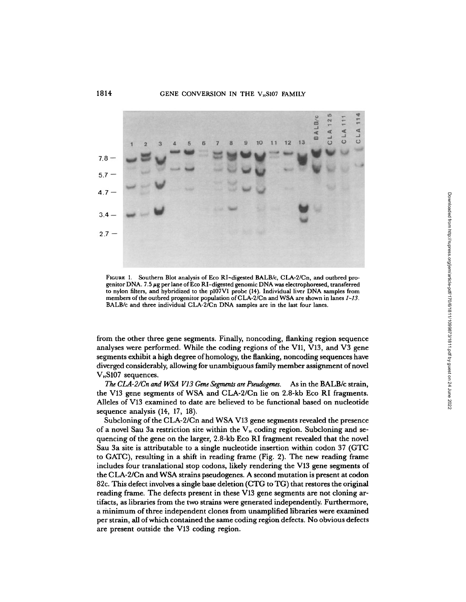#### 1814 GENE CONVERSION IN THE V<sub>H</sub>S107 FAMILY



FIGURE 1. Southern Blot analysis of Eco RI-digested BALB/c, CLA-2/Cn, and outbred progenitor DNA. 7.5  $\mu$ g per lane of Eco RI-digested genomic DNA was electrophoresed, transferred to nylon filters, and hybridized to the p107V1 probe (14). Individual liver DNA samples from members of the outbred progenitor population of CLA-2/Cn and WSA are shown in lanes 1-13.<br>BALB/c and three individual CLA-2/Cn DNA samples are in the last four lanes.

from the other three gene segments. Finally, noncoding, flanking region sequence analyses were performed. While the coding regions of the V11, V13, and V3 gene segments exhibit ahigh degree ofhomology, the flanking, noncoding sequences have diverged considerably, allowing for unambiguous family member assignment of novel  $V_{\rm H}$ S107 sequences.

The CLA-2/Cn and WSA V13 Gene Segments are Pseudogenes. As in the BALB/c strain, the V13 gene segments of WSA and CLA-2/Cn lie on 2.8-kb Eco RI fragments. Alleles of V13 examined to date are believed to be functional based on nucleotide sequence analysis (14, 17, 18).

Subcloning of the CLA-2/Cn and WSAV13 gene segments revealed the presence of a novel Sau 3a restriction site within the  $V_H$  coding region. Subcloning and sequencing of the gene on the larger, 2.8-kb Eco RI fragment revealed that the novel Sau 3a site is attributable to a single nucleotide insertion within codon <sup>37</sup> (GTC to GATC), resulting in a shift in reading frame (Fig . 2) . The new reading frame includes four translational stop codons, likely rendering the V13 gene segments of the CLA-2/Cn and WSA strains pseudogenes. A second mutation is present at codon 82c. This defect involves asingle base deletion (CTG to TG) that restores the original reading frame. The defects present in these V13 gene segments are not cloning artifacts, as libraries from the two strains were generated independently. Furthermore, a minimum of three independent clones from unamplified libraries were examined per strain, all ofwhich contained the same coding region defects. No obvious defects are present outside the V13 coding region.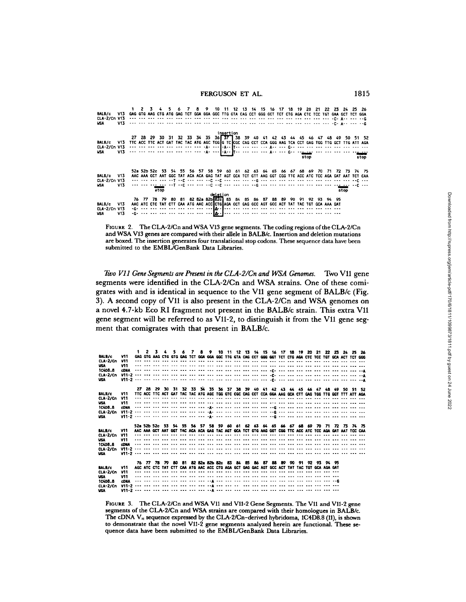| BALB/c V13 GAG GTG AAG CTG ATG GAG TCT GGA GGA GGC TTG GTA CAG CCT GGG GCT TCT CTG AGA CTC TCC TGT GAA GCT TCT GGA<br>CLA-2/Cn V13<br><b>USA</b> | V13               |                                                                                                          |  |      | -5 | 67<br>the six and the the six and the six and the the six and the the the six and his old old old offer got the cog                                                                                                                                                                                                                             |  |          |           |  |  | 8 9 10 11 12 13 14 15 16 17 18 19 20 21 22 23 24 25 26 |  |      |  |      |                                                                                       |
|--------------------------------------------------------------------------------------------------------------------------------------------------|-------------------|----------------------------------------------------------------------------------------------------------|--|------|----|-------------------------------------------------------------------------------------------------------------------------------------------------------------------------------------------------------------------------------------------------------------------------------------------------------------------------------------------------|--|----------|-----------|--|--|--------------------------------------------------------|--|------|--|------|---------------------------------------------------------------------------------------|
| <b>BALB/c</b><br><b>WSA</b>                                                                                                                      | V13               | TTC ACC TTC ACT GAT TAC TAC ATG AGC TGGIG TCICGC CAG CCT CCA GGG AAG TCA CCT GAG TGG TTG GCT TTG ATT AGA |  |      |    |                                                                                                                                                                                                                                                                                                                                                 |  |          | insertion |  |  |                                                        |  | stop |  |      | 27 28 29 30 31 32 33 34 35 36 37 38 39 40 41 42 43 44 45 46 47 48 49 50 51 52<br>stop |
| <b>BALB/c</b><br>CLA-2/Cn V13<br><b>USA</b>                                                                                                      | <b>V13</b><br>V13 |                                                                                                          |  | stop |    | AAC AAA GCT AAT GGC TAT ACA ACA GAG TAT AGT GCA TCT GTT AAG GGT CGG TTC ACC ATC TCC AGA GAT AAT TCT CAA<br>and the see and ang ang new are ing ong and and induced began in the see the see the see the see angles.<br>the and ma <u>dien</u> and had and and had not have not had the common and and have not have the sig <u> and</u> had and |  | deletion |           |  |  |                                                        |  |      |  | stop | 52a 52b 52c 53 54 55 56 57 58 59 60 61 62 63 64 65 66 67 68 69 70 71 72 73 74 75      |
| BALB/c V13<br>CLA-2/Cn V13<br><b>WSA</b>                                                                                                         | V13               |                                                                                                          |  |      |    | 76 77 78 79 80 81 82 82a 82b 82c 83 84 85 86 87 88 89 90 91 92 93 94 95<br>AAC ATC CTC TAT CTT CAA ATG AAC ACCICTGIAGA GCT GAG GCC AGT GCC ACT TAT TAC TGT GCA AAA GAT                                                                                                                                                                          |  |          |           |  |  |                                                        |  |      |  |      |                                                                                       |

FIGURE 2. The CLA-2/Cn and WSA V13 gene segments. The coding regions of the CLA-2/Cn and WSAV13 genes are compared with their allele in BALB/c. Insertion and deletion mutations are boxed. The insertion generates four translational stop codons . These sequence data have been submitted to the EMBL/GenBank Data Libraries

Two V11 Gene Segments are Present in the CLA-2/Cn and WSA Genomes. Two V11 gene segments were identified in the CLA-2/Cn and WSA strains. One of these comigrates with and is identical in sequence to the V11 gene segment of BALB/c (Fig. 3) . A second copy of V11 is also present in the CLA-2/Cn and WSA genomes on a novel 4.7-kb Eco RI fragment not present in the BALB/c strain . This extra V11 gene segment will be referred to as V11-2, to distinguish it from the V11 gene segment that comigrates with that present in BALB/c.

| BALB/c                                                                                                                                                                                | V11                      |  |  |  |  | 2 3 4 5 6 7 8 9 10 11 12 13 14 15 16 17 18 19 20 21 22 23 24 25 26<br>GAG GTG AAG CTG GTG GAG TCT GGA GGA GGC TTG GTA CAG CCT GGG GGT TCT CTG AGA CTC TCC TGT GCA ACT TCT GGG            |  |  |  |  |  |  |  |  |  |  |  |  |
|---------------------------------------------------------------------------------------------------------------------------------------------------------------------------------------|--------------------------|--|--|--|--|------------------------------------------------------------------------------------------------------------------------------------------------------------------------------------------|--|--|--|--|--|--|--|--|--|--|--|--|
| <b>CLA 2/Cn</b>                                                                                                                                                                       | V11                      |  |  |  |  |                                                                                                                                                                                          |  |  |  |  |  |  |  |  |  |  |  |  |
| WSA.                                                                                                                                                                                  | V11                      |  |  |  |  |                                                                                                                                                                                          |  |  |  |  |  |  |  |  |  |  |  |  |
| 1C4DB.B                                                                                                                                                                               | <b>CDNA</b>              |  |  |  |  | the six the the time off the six the time off the time time and time offer the six time off the six time and time                                                                        |  |  |  |  |  |  |  |  |  |  |  |  |
| $CLA-2/Ch$                                                                                                                                                                            |                          |  |  |  |  |                                                                                                                                                                                          |  |  |  |  |  |  |  |  |  |  |  |  |
| <b>USA</b>                                                                                                                                                                            |                          |  |  |  |  |                                                                                                                                                                                          |  |  |  |  |  |  |  |  |  |  |  |  |
|                                                                                                                                                                                       |                          |  |  |  |  |                                                                                                                                                                                          |  |  |  |  |  |  |  |  |  |  |  |  |
| BALB/c                                                                                                                                                                                | V11                      |  |  |  |  | 27 28 29 30 31 32 33 34 35 36 37 38 39 40 41 42 43 44 45 46 47 48 49 50 51 52<br>TTC ACC TTC ACT GAT TAC TAC ATG AGC TGG GTC CGC CAG CCT CCA GGA AAG GCA CTT GAG TGG TTG GGT TTT ATT AGA |  |  |  |  |  |  |  |  |  |  |  |  |
| CLA-2/Cn                                                                                                                                                                              | V <sub>1</sub>           |  |  |  |  |                                                                                                                                                                                          |  |  |  |  |  |  |  |  |  |  |  |  |
| <b>USA</b>                                                                                                                                                                            | V11                      |  |  |  |  |                                                                                                                                                                                          |  |  |  |  |  |  |  |  |  |  |  |  |
| 10408.8                                                                                                                                                                               | <b>CDNA</b>              |  |  |  |  | the see the dir the tip tip tip sign cleared the dir tip tip signs, and tip tip tip tip signs, and tip tip tip                                                                           |  |  |  |  |  |  |  |  |  |  |  |  |
| <b>CLA</b> 2/Cn                                                                                                                                                                       |                          |  |  |  |  |                                                                                                                                                                                          |  |  |  |  |  |  |  |  |  |  |  |  |
| <b>USA</b>                                                                                                                                                                            |                          |  |  |  |  |                                                                                                                                                                                          |  |  |  |  |  |  |  |  |  |  |  |  |
|                                                                                                                                                                                       |                          |  |  |  |  |                                                                                                                                                                                          |  |  |  |  |  |  |  |  |  |  |  |  |
|                                                                                                                                                                                       |                          |  |  |  |  | 52a 52b 52c 53 54 55 56 57 58 59 60 61 62 63 64 65 66 67 68 69 70 71 72 73 74 75                                                                                                         |  |  |  |  |  |  |  |  |  |  |  |  |
| <b>BALB/c</b>                                                                                                                                                                         | <b>V11</b>               |  |  |  |  | AAC AAA GCT AAT GGT TAC ACA ACA GAG TAC AGT GCA TCT GTG AAG GGT CGG TTC ACC ATC TCC AGA GAT AAT TCC CAA<br>                                                                              |  |  |  |  |  |  |  |  |  |  |  |  |
| $CLA-2/Ch$<br><b>USA</b>                                                                                                                                                              | <b>V11</b><br><b>V11</b> |  |  |  |  |                                                                                                                                                                                          |  |  |  |  |  |  |  |  |  |  |  |  |
| 10408.8                                                                                                                                                                               | <b>CDNA</b>              |  |  |  |  |                                                                                                                                                                                          |  |  |  |  |  |  |  |  |  |  |  |  |
| $CLA-2/Ch$                                                                                                                                                                            | $V11 - 2$                |  |  |  |  |                                                                                                                                                                                          |  |  |  |  |  |  |  |  |  |  |  |  |
| <b>USA</b>                                                                                                                                                                            |                          |  |  |  |  |                                                                                                                                                                                          |  |  |  |  |  |  |  |  |  |  |  |  |
|                                                                                                                                                                                       |                          |  |  |  |  |                                                                                                                                                                                          |  |  |  |  |  |  |  |  |  |  |  |  |
|                                                                                                                                                                                       |                          |  |  |  |  | 76 77 78 79 80 81 82 82a 82b 82c 83 84 85 86 87 88 89 90 91 92 93 94 95                                                                                                                  |  |  |  |  |  |  |  |  |  |  |  |  |
| <b>BALB/c</b>                                                                                                                                                                         | V11                      |  |  |  |  | AGC ATC CTC TAT CTT CAA ATG AAC ACC CTG AGA GCT GAG GAC AGT GCC ACT TAT TAC TGT GCA AGA GAT                                                                                              |  |  |  |  |  |  |  |  |  |  |  |  |
| <b>CLA-2/Cn</b>                                                                                                                                                                       | V11                      |  |  |  |  |                                                                                                                                                                                          |  |  |  |  |  |  |  |  |  |  |  |  |
| <b>USA</b><br>10408.8                                                                                                                                                                 | V11<br><b>CDNA</b>       |  |  |  |  | the company and the company of the company of the company of the company of the company of the company of the                                                                            |  |  |  |  |  |  |  |  |  |  |  |  |
| $CLA-2/Ch$                                                                                                                                                                            |                          |  |  |  |  |                                                                                                                                                                                          |  |  |  |  |  |  |  |  |  |  |  |  |
| <b>USA</b>                                                                                                                                                                            |                          |  |  |  |  |                                                                                                                                                                                          |  |  |  |  |  |  |  |  |  |  |  |  |
|                                                                                                                                                                                       |                          |  |  |  |  |                                                                                                                                                                                          |  |  |  |  |  |  |  |  |  |  |  |  |
|                                                                                                                                                                                       |                          |  |  |  |  |                                                                                                                                                                                          |  |  |  |  |  |  |  |  |  |  |  |  |
| FIGURE 3. The CLA-2/Cn and WSA V11 and V11-2 Gene Segments. The V11 and V11-2 gene                                                                                                    |                          |  |  |  |  |                                                                                                                                                                                          |  |  |  |  |  |  |  |  |  |  |  |  |
|                                                                                                                                                                                       |                          |  |  |  |  |                                                                                                                                                                                          |  |  |  |  |  |  |  |  |  |  |  |  |
| segments of the CLA-2/Cn and WSA strains are compared with their homologues in BALB/c.<br>The cDNA $V_H$ sequence expressed by the CLA-2/Cn-derived hybridoma, 1C4D8.8 (11), is shown |                          |  |  |  |  |                                                                                                                                                                                          |  |  |  |  |  |  |  |  |  |  |  |  |
|                                                                                                                                                                                       |                          |  |  |  |  |                                                                                                                                                                                          |  |  |  |  |  |  |  |  |  |  |  |  |
| to demonstrate that the novel V11-2 gene segments analyzed herein are functional. These se-                                                                                           |                          |  |  |  |  |                                                                                                                                                                                          |  |  |  |  |  |  |  |  |  |  |  |  |
|                                                                                                                                                                                       |                          |  |  |  |  |                                                                                                                                                                                          |  |  |  |  |  |  |  |  |  |  |  |  |
| quence data have been submitted to the EMBL/GenBank Data Libraries.                                                                                                                   |                          |  |  |  |  |                                                                                                                                                                                          |  |  |  |  |  |  |  |  |  |  |  |  |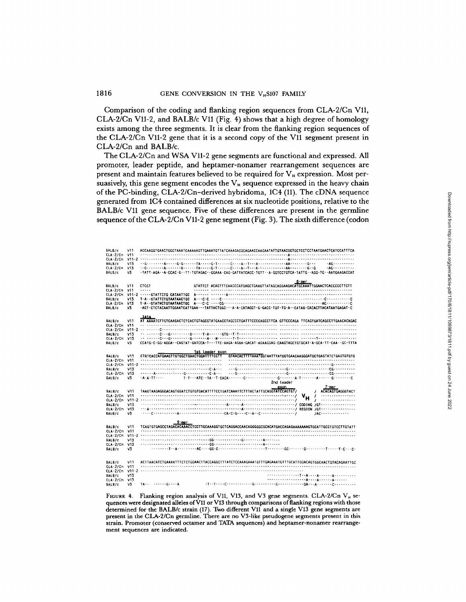#### 181 6 GENE CONVERSION IN THE V<sub>H</sub>S107 FAMILY

Comparison of the coding and flanking region sequences from CLA-2/Cn V11, CLA-2/Cn V11-2, and BALB/c V11 (Fig. 4) shows that a high degree of homology exists among the three segments. It is clear from the flanking region sequences of the CLA-2/Cn V11-2 gene that it is a second copy of the V11 segment present in CLA-2/Cn and BALB/c.

TheCLA-2/Cn and WSA V11-2 gene segments are functional and expressed. All promoter, leader peptide, and heptamer-nonamer rearrangement sequences are present and maintain features believed to be required for V<sub>H</sub> expression. Most persuasively, this gene segment encodes the  $V_H$  sequence expressed in the heavy chain of the PC-binding, CLA-2/Cn-derived hybridoma, 1C4 (11) . The cDNA sequence generated from 1C4 contained differences at six nucleotide positions, relative to the BALB/c V11 gene sequence. Five of these differences are present in the germline sequence ofthe CLA-2/Cn V11-2 gene segment (Fig. 3) . The sixth difference (codon

|                                                                                                                              |                                      | the FO-binding, OLIA 27 On Actived hybridoma, TOT $(11)$ . The CDTVA sequence<br>Downloaded<br>nerated from 1C4 contained differences at six nucleotide positions, relative to the<br>ALB/c V11 gene sequence. Five of these differences are present in the germline<br>quence of the CLA-2/Cn V11-2 gene segment (Fig. 3). The sixth difference (codon<br>from                                                                                                                                                 |
|------------------------------------------------------------------------------------------------------------------------------|--------------------------------------|-----------------------------------------------------------------------------------------------------------------------------------------------------------------------------------------------------------------------------------------------------------------------------------------------------------------------------------------------------------------------------------------------------------------------------------------------------------------------------------------------------------------|
| BALB/c<br>CLA-2/Cn V11<br>BALB/c<br>$CLA-2/cn$ V13<br>BALB/c<br>BALB/c<br>$CLA-2/Ch$ V11<br>BALB/c<br>CLA-2/Cn V13<br>BALB/c | V11<br>V13<br>v٦<br>V11<br>V13<br>V3 | http://rupress.org/jem/article-pdf/170/6/1811/1/098/73/1811.pdf by guest on<br>AGCAAGGTGAACTGGCTAAATCAAAAAGTTGAAATGTTATCAAAGACGCAGAACCAACAATATTGTAACGGTGCTCCTCCTAATGAACTCATTCCATTTCA<br>-TATT-AGA--A-CCAC-G--TT-TGTAGAC--GGAAA-CAG-GATTATCACC-TGTT--A-GGTCCTGTCA-TATTG--AGG-TG--AATGAAGACCAT<br>8-mer<br>CTCGT<br>GTATTCT_ACAGTTTCAACCCATGAGCTGAAGTTATAGCAGGAAGACATGCAAATTGGAACTCACCCCCTTCTT<br>$\cdots$<br>-AGT-CTCTACAATTGGAATCATTGAA---TATTACTGGC---A-A-CATAGGT-G-GACC-TGT-TG-A--CATAG-CACACTTACATAATGAGAT-C |
| BALB/c<br>CLA-2/Cn V11<br>BALB/c<br>$CLA-2/cn$<br>BALB/c                                                                     | V11<br>V13<br>V13<br>V3              | AT AAAATCTTGTCAAGACTCTCACTGTAGCGTATGAACCTAGCCCTGATTTCCCCAGCCTTCA GTTCCCAGA TTCAGTGATCAGCCTTGAACACAGAC<br>CCATG-C-GG-AGGA--CAGTAT-GATCCA-T---TTC-AAGA-AGAA-GACAT-AGAAGGAG-CAAGTAGCTGTGCAT-A-GCA-TT-CAA--GC-TTTA                                                                                                                                                                                                                                                                                                  |
| BALB/c<br>CLA-2/Cn V11<br>BALB/c<br>$CLA-2/Ch$ V13<br>BALB/c<br><b>BALB/c</b><br>$CLA-2/Ch$ V11                              | V11<br>V13<br>v3<br>V11              | ist leader exon<br>CTGTCACCATGAAGTTGTGGCTGAACTGGATTTTCCTT GTAACACTTTTAAATGGTAATTTATGGTGAACAAGGGATGCTGAGTATCTGAGTGTGTG<br>2nd leader<br>24 June<br>7-тег<br>exon<br>/ ACACAGTGAGGGTACT                                                                                                                                                                                                                                                                                                                           |
| BALB/c<br>CLA-2/Cn V13<br>BALB/c<br>BALB/c                                                                                   | V13<br>v3<br>V11                     | 2022<br>$/AC$<br><u>9-mer</u><br>TCAGTGTGAGCCTAGACACAAAACCTCCTTGCAAAGGTGCTCAGGACACAGGGGGGCGCACATGACCAGAGAAAAAAAGTGCATTGCCTGTCTTGTATT                                                                                                                                                                                                                                                                                                                                                                            |
| $CLA-2/Ch$ V11<br>BALB/c<br>CLA-2/Cn V13<br>BALB/c                                                                           | V13<br>V3                            |                                                                                                                                                                                                                                                                                                                                                                                                                                                                                                                 |
| BALB/C<br>CLA-2/Cn V11<br><b>BALB/c</b><br>$CLA-2/Ch$ V13<br>BALB/c                                                          | V11<br>V13<br>v3                     | ACTTAACATCTGAAAATTTCTCTGGAACTTACCAGGCTTTATCTCCAAAGAAATGTTTGAGAAATGTTTGCATTGGACAGTGGCAACTGTACAGAATTGC<br>$TA - - - - - - - - G - - - A$                                                                                                                                                                                                                                                                                                                                                                          |

FIGURE 4. Flanking region analysis of V11, V13, and V3 gene segments. CLA-2/Cn V<sub>H</sub> sequences were designated alleles of V11 or V13 through comparisons of flanking regions with those determined for the BALB/c strain (17) . Two different Vll and a single V13 gene segments are present in the CLA-2/Cn germline. There are no V3-like pseudogene segments present in this strain. Promoter (conserved octamer and TATA sequences) and heptamer-nonamer rearrangement sequences are indicated.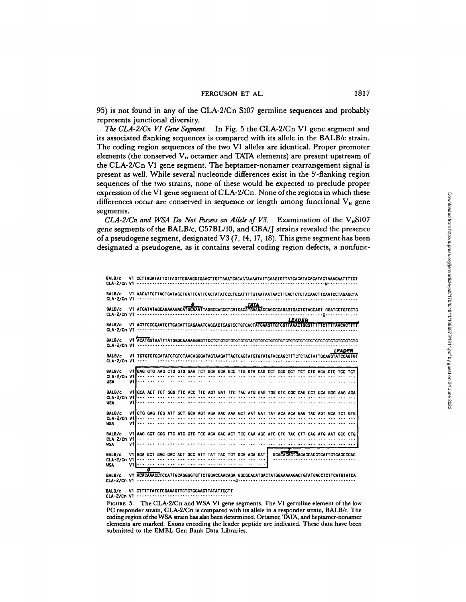95) is not found in any of the CLA-2/Cn S107 germline sequences and probably represents junctional diversity.

The CLA-2/Cn V1 Gene Segment. In Fig. 5 the CLA-2/Cn V1 gene segment and its associated flanking sequences is compared with its allele in the BALB/c strain. The coding region sequences of the two Vl alleles are identical. Proper promoter elements (the conserved V<sub>H</sub> octamer and TATA elements) are present upstream of the CLA-2/Cn VI gene segment. The heptamer-nonamer rearrangement signal is present as well . While several nucleotide differences exist in the 5'-flanking region sequences of the two strains, none of these would be expected to preclude proper expression of the V1 gene segment of CLA-2/Cn. None of the regions in which these differences occur are conserved in sequence or length among functional  $V_{\text{\tiny H}}$  gene segments.

CLA-2/Cn and WSA Do Not Possess an Allele of V3. Examination of the  $V_{H}S107$ gene segments of the BALB/c, C57BL/10, and CBA/J strains revealed the presence of a pseudogene segment, designated V3 (7, 14, 17, 18). This gene segment has been designated a pseudogene, as it contains several coding region defects, a nonfunc-

| BALB/c               |                                                                                                                                                                                                 |   |  |   |  |  |             |  |  |               |  |                                          |        |                                                                                            |
|----------------------|-------------------------------------------------------------------------------------------------------------------------------------------------------------------------------------------------|---|--|---|--|--|-------------|--|--|---------------|--|------------------------------------------|--------|--------------------------------------------------------------------------------------------|
| BALB/c               |                                                                                                                                                                                                 |   |  | 8 |  |  |             |  |  |               |  |                                          |        | V1_AACATTGTTACTGATAGCTGATTCATTCACTATATCCCTGCATTTTGTAATAATAACTTCACTCTACAACTTCAATCCTAGAGCTA  |
| BALB/c               |                                                                                                                                                                                                 |   |  |   |  |  | <b>TATA</b> |  |  |               |  |                                          |        |                                                                                            |
| BALB/c               |                                                                                                                                                                                                 |   |  |   |  |  |             |  |  | <b>LEADER</b> |  |                                          |        | V1 AGTTCCCCAATCTTCACATTCAGAAATCAGCACTCAGTCCTGTCACTATGAAGTTGTGGTTAAACTGGGTTTTTCTTTTAACACTTT |
| BALB/c               |                                                                                                                                                                                                 |   |  |   |  |  |             |  |  |               |  |                                          |        |                                                                                            |
| BALB/c               |                                                                                                                                                                                                 |   |  |   |  |  |             |  |  |               |  |                                          | LEADER |                                                                                            |
| BALB/c<br><b>USA</b> | V1 GAG GTG AAG CTG GTG GAA TCT GGA GGA GGC TTG GTA CAG CCT GGG GGT TCT CTG AGA CTC TCC TGT                                                                                                      |   |  |   |  |  |             |  |  |               |  |                                          |        |                                                                                            |
| BALB/c<br><b>WSA</b> | VIIGCA ACT TCT GGG TTC ACC TTC AGT GAT TTC TAC ATG GAG TGG GTC CGC CAG CCT CCA GGG AAG AGA<br>Village and the continuum and the continuum and the continuum and continuum and continuum and the |   |  |   |  |  |             |  |  |               |  |                                          |        |                                                                                            |
| BALB/c<br><b>USA</b> | VIICTG GAG TGG ATT GCT GCA AGT AGA AAC AAA GCT AAT GAT TAT ACA ACA GAG TAC AGT GCA TCT GTG                                                                                                      |   |  |   |  |  |             |  |  |               |  |                                          |        |                                                                                            |
| BALB/c<br><b>WSA</b> | Village and and not not you was and and and you can not you was you was and you was you                                                                                                         |   |  |   |  |  |             |  |  |               |  |                                          |        | VI AAG GGT CGG TTC ATC GTC TCC AGA GAC ACT TCC CAA AGC ATC CTC TAC CTT CAG ATG AAT GCC CTG |
| BALB/c<br><b>USA</b> | VI AGA GCT GAG GAC ACT GCC ATT TAT TAC TGT GCA AGA GAT                                                                                                                                          |   |  |   |  |  |             |  |  |               |  | <b>GCACACAGTGAGAGGACGTCATTGTGAGCCCAG</b> |        |                                                                                            |
| BALS/c               | V1 ACACAAACCTCCATTGCAGGGGTGTTCTGGACCAACAGA GGCGCACATGACTATGGAAAAAGACTGTATGACCTCTTCATGTATCA                                                                                                      | Τ |  |   |  |  |             |  |  |               |  |                                          |        |                                                                                            |

BALB/c V1 CTTTTTATCTGGAAAGTTCTCTGGAACTTATATTGCTT CLA-2/Cn V1

FIGURE 5. The CLA-2/Cn and WSA V1 gene segments. The V1 germline element of the low PC responder strain, CLA-2/Cn is compared with its allele in a responder strain, BALB/c. The coding region of the WSA strain has also been determined. Octamer, TATA, and heptamer-nonamer elements are marked. Exons encoding the leader peptide are indicated. These data have been submitted to the EMBL Gen Bank Data Libraries.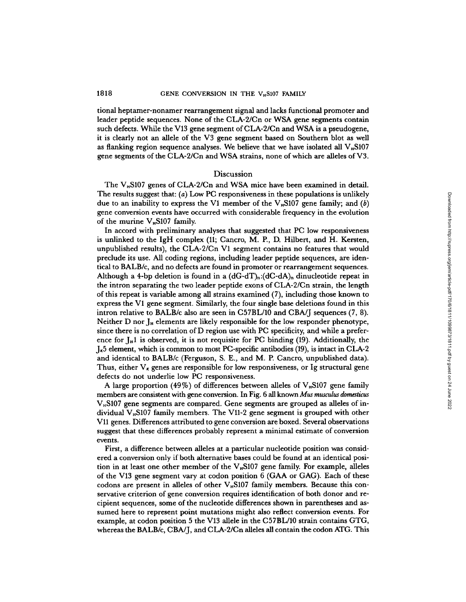tional heptamer-nonamer rearrangement signal and lacks functional promoter and leader peptide sequences. None of the CLA-2/Cn or WSA gene segments contain such defects. While the V13 gene segment of CLA-2/Cn and WSA is a pseudogene, it is clearly not an allele of the V3 gene segment based on Southern blot as well as flanking region sequence analyses. We believe that we have isolated all  $V_n$ S107 gene segments of the CLA-2/Cn and WSA strains, none of which are alleles of V3 .

#### Discussion

The  $V_H$ S107 genes of CLA-2/Cn and WSA mice have been examined in detail. The results suggest that: (a) Low PC responsiveness in these populations is unlikely due to an inability to express the V1 member of the  $V_nS107$  gene family; and  $(b)$ gene conversion events have occurred with considerable frequency in the evolution of the murine  $V_H S107$  family.

In accord with preliminary analyses that suggested that PC low responsiveness In accord with premiinary analyses that suggested that 10 fow responsiveness<br>is unlinked to the IgH complex (11; Cancro, M. P., D. Hilbert, and H. Kersten, unpublished results), the CLA-2/Cn Vl segment contains no features that would preclude its use. All coding regions, including leader peptide sequences, are identical to BALB/c, and no defects are found in promoter or rearrangement sequences. Although a 4-bp deletion is found in a  $(dG-dT)_n:(dC-dA)_n$  dinucleotide repeat in the intron separating the two leader peptide exons of CLA-2/Cn strain, the length of this repeat is variable among all strains examined (7), including those known to express the Vl gene segment. Similarly, the four single base deletions found in this intron relative to BALB/c also are seen in C57BL/10 and CBA/J sequences (7, 8) . Neither D nor J<sub>H</sub> elements are likely responsible for the low responder phenotype, since there is no correlation of D region use with PC specificity, and while a preference for  $I_H$ 1 is observed, it is not requisite for PC binding (19). Additionally, the  $J_{\kappa}$ 5 element, which is common to most PC-specific antibodies (19), is intact in CLA-2 and identical to BALB/c (Ferguson, S. E., and M. P. Cancro, unpublished data). Thus, either  $V_{\kappa}$  genes are responsible for low responsiveness, or Ig structural gene defects do not underlie low PC responsiveness.

defects do not underlie low PC responsiveness.<br>A large proportion (49%) of differences between alleles of V<sub>H</sub>S107 gene family members are consistent with gene conversion. In Fig. 6 all known *Mus musculus domesticus*  $V<sub>II</sub>ST07$  gene segments are compared. Gene segments are grouped as alleles of individual  $V<sub>H</sub>$ S107 family members. The V11-2 gene segment is grouped with other V11 genes. Differences attributed to gene conversion are boxed. Several observations suggest that these differences probably represent a minimal estimate of conversion events.

First, a difference between alleles at a particular nucleotide position was considered a conversion only if both alternative bases could be found at an identical position in at least one other member of the  $V<sub>H</sub>$ S107 gene family. For example, alleles of the V13 gene segment vary at codon position <sup>6</sup> (GAA or GAG). Each of these codons are present in alleles of other V<sub><sup>H</sub>S107</sup> family members. Because this con-</sub> servative criterion of gene conversion requires identification of both donor and recipient sequences, some of the nucleotide differences shown in parentheses and assumed here to represent point mutations might also reflect conversion events . For example, at codon position 5 the V13 allele in the C57BL/10 strain contains GTG, whereas the BALB/c, CBA/J, and CLA-2/Cn alleles all contain the codon ATG. This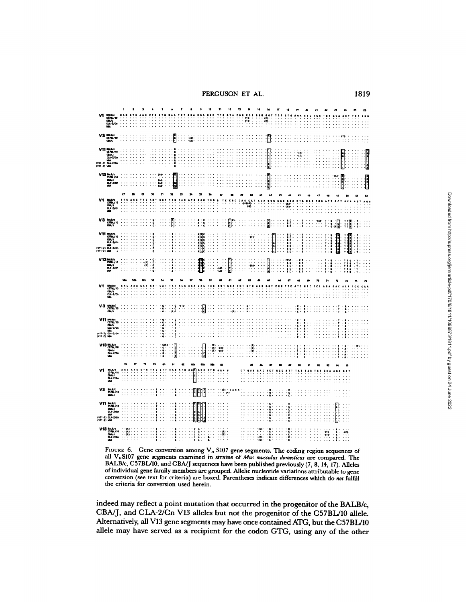FERGUSON ET AL. 1819

|    | BALB/c<br>CS7BL/10<br>CBA/J<br>CLA-2/Cn<br>WBA                                                                                                                                                                                                                                                                                                                                        |                         |                 |               |                          |                      |                                      |           |                                                                                                             |                          |                                                               |                                           |                      |                                                          |                            | œ                                            |                                                          |                          |                                       |         |                                  |                                                                                                                                                              |                                                               |                           |               |
|----|---------------------------------------------------------------------------------------------------------------------------------------------------------------------------------------------------------------------------------------------------------------------------------------------------------------------------------------------------------------------------------------|-------------------------|-----------------|---------------|--------------------------|----------------------|--------------------------------------|-----------|-------------------------------------------------------------------------------------------------------------|--------------------------|---------------------------------------------------------------|-------------------------------------------|----------------------|----------------------------------------------------------|----------------------------|----------------------------------------------|----------------------------------------------------------|--------------------------|---------------------------------------|---------|----------------------------------|--------------------------------------------------------------------------------------------------------------------------------------------------------------|---------------------------------------------------------------|---------------------------|---------------|
|    | V3 MAR/C<br>GMA/10<br>GM/J                                                                                                                                                                                                                                                                                                                                                            |                         |                 |               |                          | ŀ                    |                                      | $-0.03 -$ |                                                                                                             |                          |                                                               |                                           |                      |                                                          |                            |                                              |                                                          |                          |                                       |         |                                  |                                                                                                                                                              |                                                               |                           |               |
|    | V11 BALB/C<br>CBA/1<br>CBA/1<br>CLA-2/Ch<br>CV11-2) LGA-2/Ch<br>CV11-2) LGA-2/Ch                                                                                                                                                                                                                                                                                                      |                         |                 |               |                          |                      |                                      |           |                                                                                                             |                          |                                                               |                                           |                      |                                                          |                            |                                              |                                                          |                          | $-0.73$<br>m,<br>$\ddot{\phantom{a}}$ |         |                                  |                                                                                                                                                              |                                                               |                           | $\frac{1}{2}$ |
|    | $\begin{array}{r} \text{V}13 \text{ mm} \text{pc} \\ \text{C}701/10 \\ \text{cm} \text{cm} \text{cm} \\ \text{C}14 \cdot 2/ \text{cm} \\ \text{cm} \\ \text{M} \text{A} \end{array}$                                                                                                                                                                                                  |                         |                 |               | (A)<br>(A)-<br>ωī.<br>m. | $\ddot{\phantom{a}}$ |                                      |           |                                                                                                             |                          |                                                               |                                           |                      |                                                          |                            | $\begin{array}{c} \hline \hline \end{array}$ |                                                          |                          |                                       |         |                                  | (n)<br>:<br>÷                                                                                                                                                | $\frac{1}{2}$<br>J,                                           |                           | i<br>Li       |
|    |                                                                                                                                                                                                                                                                                                                                                                                       | 27                      |                 |               | 31                       | u                    |                                      |           |                                                                                                             |                          |                                                               |                                           |                      |                                                          |                            |                                              |                                                          |                          |                                       |         |                                  |                                                                                                                                                              |                                                               |                           |               |
|    | <b>BALR/C<br/>CS7BL/10<br/>CLA-2/Cn<br/>WA</b>                                                                                                                                                                                                                                                                                                                                        |                         |                 |               |                          |                      |                                      |           |                                                                                                             |                          |                                                               |                                           |                      | c c<br>$rac{1}{2}$                                       |                            |                                              |                                                          | (0)<br>$\dddot{\bullet}$ |                                       |         |                                  |                                                                                                                                                              |                                                               |                           |               |
|    | $\begin{array}{r}\n\text{V3}_{\text{SMM}} \\ \text{G7B1/10} \\ \text{G7B1/10}\n\end{array}$                                                                                                                                                                                                                                                                                           |                         |                 |               |                          |                      | ٠                                    |           | å<br>à                                                                                                      |                          |                                                               | ľ                                         |                      |                                                          |                            | B                                            | ÷<br>:                                                   | $\ddot{\phantom{0}}$     |                                       | -(A)    | $\mathbf{r}$<br>$\ddot{\bullet}$ | . [                                                                                                                                                          | I<br>澗                                                        |                           | ∷             |
|    | $\begin{array}{r} \textbf{V11} \text{ mm}.\text{pc} \\ \textbf{5701/10} \\ \textbf{5801/3} \\ \textbf{591/2} \\ \textbf{591/2} \\ \textbf{591/2} \\ \textbf{591/2} \\ \textbf{591/2} \\ \textbf{591/2} \\ \textbf{591/2} \\ \textbf{591/2} \\ \textbf{591/2} \\ \textbf{591/2} \\ \textbf{591/2} \\ \textbf{591/2} \\ \textbf{591/2} \\ \textbf{591/2} \\ \textbf{591/2} \\ \textbf{$ |                         |                 |               |                          |                      |                                      |           | $\begin{array}{c}\nA & B & C \\ A & B & C \\ A & C & C \\ A & C & C \\ A & C & C \\ A & C & C\n\end{array}$ |                          |                                                               |                                           |                      | נז)-<br>Ω,<br>$\ddot{\phantom{0}}$                       |                            | $\ddotsc$                                    | $\ddot{\phantom{1}}$<br>İ<br>. .<br>$\ddot{\phantom{1}}$ | H<br>÷,<br>6             |                                       |         | q<br>¢<br>$\ddot{r}$             | $-20000$                                                                                                                                                     | H                                                             | $\cdot$ t<br>٠,           |               |
|    | $V13 \frac{\text{m} \cdot \text{m} \cdot \text{m}}{\text{cm} \times \text{m}}$<br>$\frac{\text{cm} \times \text{m}}{\text{cm} \times \text{m}}$                                                                                                                                                                                                                                       |                         | $\cdot$<br>-61) | ٠è<br>$\cdot$ |                          | ٨                    | $\cdot$<br>$\hat{\phantom{a}}$<br>ä. |           | Ì                                                                                                           | $\ddot{\cdot}$           | $\ddot{\cdot}$<br>$\omega$<br>ü.                              | $\overline{\mathbf{r}}$<br>$\ddot{\cdot}$ |                      | $\ddotsc$<br>٠<br>(4)                                    | $\mathbb{C}$               | $\overline{\mathbf{b}}$<br>$\vdots$          | $\cdot$<br>$\cdots$                                      | H                        | å                                     |         | i                                | $\ddot{\phantom{0}}$<br>$\ddot{\phantom{a}}$<br>l,                                                                                                           | $\frac{116}{116}$                                             | $\cdot$<br>T<br>$\cdot$ T |               |
| Vt |                                                                                                                                                                                                                                                                                                                                                                                       |                         |                 |               |                          |                      |                                      |           |                                                                                                             |                          |                                                               |                                           |                      |                                                          |                            |                                              |                                                          |                          |                                       |         |                                  |                                                                                                                                                              |                                                               |                           |               |
|    | <b>BALS/c<br/>CS7BL/10<br/>CBA/d<br/>CLA-2/Cn<br/>WBA</b>                                                                                                                                                                                                                                                                                                                             |                         |                 |               |                          |                      |                                      |           |                                                                                                             |                          |                                                               |                                           |                      |                                                          |                            |                                              |                                                          |                          |                                       |         |                                  |                                                                                                                                                              |                                                               |                           |               |
|    | $V3$ MAR/ $\frac{1}{10}$ CS70L/10                                                                                                                                                                                                                                                                                                                                                     |                         |                 |               |                          |                      |                                      |           | :<br> }                                                                                                     |                          |                                                               |                                           |                      |                                                          |                            |                                              |                                                          |                          |                                       |         |                                  |                                                                                                                                                              |                                                               |                           |               |
|    | V11 MAB/c<br>CS78L/10<br>CLA/J<br>CA7-2/Cn<br>(V11-2) MA<br>(V11-2) MA                                                                                                                                                                                                                                                                                                                |                         |                 |               | å<br>á                   | L.                   |                                      |           |                                                                                                             |                          |                                                               |                                           |                      |                                                          |                            |                                              |                                                          |                          | ¢                                     |         |                                  |                                                                                                                                                              |                                                               |                           |               |
|    | $\begin{array}{r}\n\text{V13} \text{ BMLD/c} \\ \text{C3/BL/10} \\ \text{C3/14} \\ \text{C3A-2/En} \\ \text{M4}\n\end{array}$                                                                                                                                                                                                                                                         |                         |                 |               | <b>4(C)</b><br>å         | ic<br>Col            |                                      |           | e]<br>Le                                                                                                    | $\cdot$ (T)<br>းကြီး     | $\frac{1}{10}$                                                |                                           |                      | $\begin{smallmatrix} 0 \\ 0 \\ 0 \\ 0 \end{smallmatrix}$ |                            |                                              |                                                          |                          |                                       |         |                                  |                                                                                                                                                              | $\cdot$<br>$\ddot{\phantom{a}}$<br>$\ddot{\phantom{1}}$<br>×. | (T)                       |               |
|    |                                                                                                                                                                                                                                                                                                                                                                                       |                         |                 |               |                          |                      |                                      | 22        |                                                                                                             |                          |                                                               |                                           |                      |                                                          |                            |                                              |                                                          |                          |                                       |         |                                  |                                                                                                                                                              |                                                               |                           |               |
| V1 | <b>BALB/c<br/>CS7BL/10<br/>CBA/J<br/>CLA-2/Cn<br/>WBA</b>                                                                                                                                                                                                                                                                                                                             |                         |                 |               |                          |                      |                                      | ŀ.        | ä,<br>$\ddot{\phantom{0}}$                                                                                  | $\overline{\phantom{a}}$ | ٠<br>00<br>$\mathbb{R}^2$                                     |                                           |                      |                                                          |                            |                                              |                                                          |                          |                                       |         |                                  |                                                                                                                                                              |                                                               |                           |               |
|    | $V3$ BALB/c<br>CS7BL/10<br>CBA/J                                                                                                                                                                                                                                                                                                                                                      |                         |                 |               |                          |                      |                                      |           | П                                                                                                           |                          | $\ddot{c}$<br>$\vdots$                                        | $\ddot{\mathbf{u}}$                       |                      |                                                          |                            |                                              |                                                          |                          |                                       |         |                                  |                                                                                                                                                              |                                                               |                           |               |
|    | V11 MAR/c<br>CRA/J<br>CAA/J<br>CAA-2/Cn<br>(V11-2) MA<br>(V11-2) MA                                                                                                                                                                                                                                                                                                                   |                         |                 |               |                          | ۸<br>A               |                                      |           | $\begin{array}{c}\n\hline\n\text{cos}\theta \\ \hline\n\text{cos}\theta\n\end{array}$                       |                          | $\ddot{\phantom{1}}$<br>$\cdots$<br>.<br>$\ddot{\phantom{a}}$ |                                           |                      |                                                          |                            |                                              |                                                          |                          |                                       |         |                                  | $\frac{1}{2}$                                                                                                                                                | . .<br>$\ddotsc$                                              |                           |               |
|    | V13 BALR/c<br>CS78L/10<br>CLA-2/Cn<br>LIGA-2/Cn<br>LIGA                                                                                                                                                                                                                                                                                                                               | $(4)$<br>$(4)$<br>$(4)$ |                 |               |                          | ۸                    |                                      |           | Η<br>$\pmb{\lambda}$<br>$\hat{\mathbf{a}}$                                                                  | $\mathbb{R}^2$           | $\frac{1}{100}$                                               |                                           | $\ddot{\phantom{0}}$ |                                                          | $\ddot{ }$<br>-co-<br>-cen |                                              |                                                          | i                        |                                       | $\cdot$ |                                  | $\begin{array}{ccc}\n\ldots & A & \ldots \\ \ldots & \ldots & \ldots \\ \ldots & \ldots & \ldots & \ldots \\ \ldots & \ldots & \ldots & \ldots\n\end{array}$ |                                                               |                           |               |

FIGURE 6. Gene conversion among  $V_H$  S107 gene segments. The coding region sequences of all  $V_H$ S107 gene segments examined in strains of *Mus musculus domesticus* are compared. The BALB/c, C57BL/10, and CBA/J sequences have been published previously (7, 8, 14, 17). Alleles of individual gene family members are grouped. Allelic nucleotide variations attributable to gene conversion (see text for criteria) are boxed. Parentheses indicate differences which do not fulfill the criteria for conversion used herein.

indeed may reflect a point mutation that occurred in the progenitor of the BALB/c, CBA/J, and CLA-2/Cn V13 alleles but not the progenitor of the C57BL/10 allele. Alternatively, all V13 gene segments mayhave once contained ATG, but the C57BL/10 allele may have served as a recipient for the codon GTG, using any of the other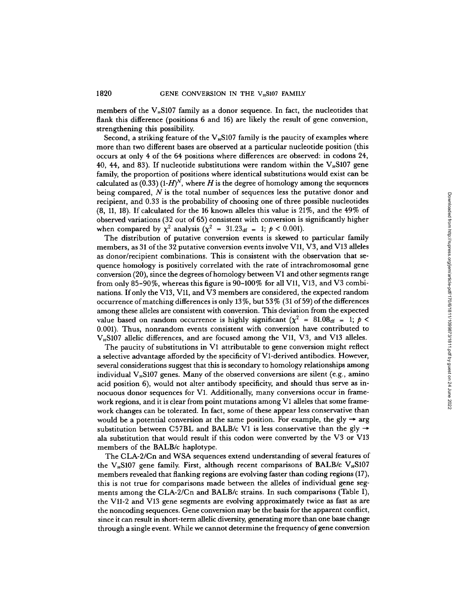members of the  $V_{\text{B}}$ S107 family as a donor sequence. In fact, the nucleotides that flank this difference (positions 6 and 16) are likely the result of gene conversion, strengthening this possibility.

Second, a striking feature of the  $V_{\mu}$ S107 family is the paucity of examples where more than two different bases are observed at a particular nucleotide position (this occurs at only 4 of the 64 positions where differences are observed: in codons 24, 40, 44, and 83). If nucleotide substitutions were random within the  $V<sub>H</sub>S107$  gene family, the proportion of positions where identical substitutions would exist can be calculated as  $(0.33)$   $(H)<sup>N</sup>$ , where H is the degree of homology among the sequences being compared, N is the total number of sequences less the putative donor and<br>being compared, N is the total number of sequences less the putative donor and recipient, and 0.33 is the probability of choosing one of three possible nucleotides (8, 11, 18). If calculated for the <sup>16</sup> known alleles this value is 21%, and the 49% of observed variations (32 out of 65) consistent with conversion is significantly higher when compared by  $\chi^2$  analysis ( $\chi^2 = 31.23_{df} = 1$ ;  $p < 0.001$ ).

The distribution of putative conversion events is skewed to particular family members, as 31 of the 32 putative conversion events involve V11, V3, and V13 alleles as donor/recipient combinations. This is consistent with the observation that sequence homology is positively correlated with the rate of intrachromosomal gene conversion (20), since the degrees of homology between Vl and other segments range from only 85-90%, whereas this figure is 90-100% for all V11, V13, and V3 combinations. If only the V13, V11, and V3 members are considered, the expected random occurrence of matching differences is only  $13\%$ , but  $53\%$  (31 of 59) of the differences among these alleles are consistent with conversion. This deviation from the expected value based on random occurrence is highly significant  $(\chi^2 = 81.08<sub>df</sub> = 1; p <$ 0.001). Thus, nonrandom events consistent with conversion have contributed to  $V_H S107$  allelic differences, and are focused among the V11, V3, and V13 alleles.

The paucity of substitutions in Vl attributable to gene conversion might reflect a selective advantage afforded by the specificity of V1-derived antibodies. However, several considerations suggest that this is secondary to homology relationships among individual  $V_H$ S107 genes. Many of the observed conversions are silent (e.g., amino acid position 6), would not alter antibody specificity, and should thus serve as innocuous donor sequences for Vl. Additionally, many conversions occur in framework regions, and it is clear from point mutations among Vl alleles that some framework changes can be tolerated. In fact, some of these appear less conservative than would be a potential conversion at the same position. For example, the gly  $\rightarrow$  arg<br>would be a potential conversion at the same position. For example, the gly  $\rightarrow$  arg substitution between C57BL and BALB/c V1 is less conservative than the gly  $\rightarrow$ ala substitution that would result if this codon were converted by the V3 or V13 members of the BALB/c haplotype.

The CLA-2/Cn and WSA sequences extend understanding of several features of the V<sub>H</sub>S107 gene family. First, although recent comparisons of BALB/c V<sub>H</sub>S107 members revealed that flanking regions are evolving faster than coding regions (17), this is not true for comparisons made between the alleles of individual gene segments among the CLA-2/Cn and BALB/c strains. In such comparisons (Table I), the V11-2 and V13 gene segments are evolving approximately twice as fast as are the noncoding sequences. Gene conversion maybe the basis for the apparent conflict, since it can result in short-term allelic diversity, generating more than one base change through asingle event. While we cannot determine the frequency of gene conversion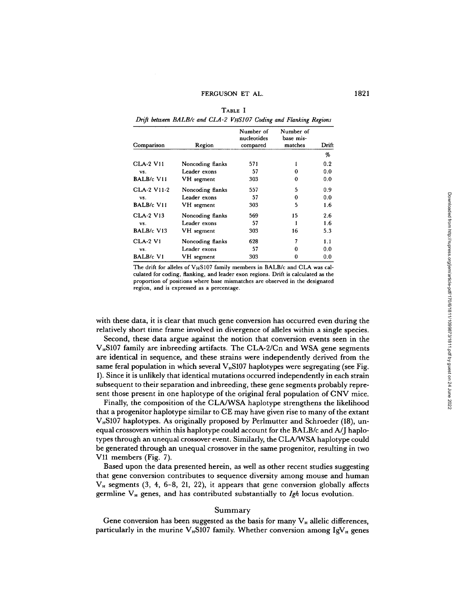TABLE I Drift between BALB/c and CLA-2 VHS107 Coding and Flanking Regions

| Comparison        | Region           | Number of<br>nucleotides<br>compared | Number of<br>base mis-<br>matches | Drift |
|-------------------|------------------|--------------------------------------|-----------------------------------|-------|
|                   |                  |                                      |                                   | %     |
| <b>CLA-2 V11</b>  | Noncoding flanks | 571                                  | 1                                 | 0.2   |
| VS.               | Leader exons     | 57                                   | 0                                 | 0.0   |
| BALB/c V11        | VH segment       | 303                                  | 0                                 | 0.0   |
| CLA-2 V11-2       | Noncoding flanks | 557                                  | 5                                 | 0.9   |
| VS.               | Leader exons     | 57                                   | 0                                 | 0.0   |
| <b>BALB/c V11</b> | VH segment       | 303                                  | 5                                 | 1.6   |
| <b>CLA-2 V13</b>  | Noncoding flanks | 569                                  | 15                                | 2.6   |
| VS.               | Leader exons     | 57                                   |                                   | 1.6   |
| BALB/c V13        | VH segment       | 303                                  | 16                                | 5.3   |
| <b>CLA-2 V1</b>   | Noncoding flanks | 628                                  | 7                                 | 1.1   |
| VS.               | Leader exons     | 57                                   | 0                                 | 0.0   |
| <b>BALB/c V1</b>  | VH segment       | 303                                  | 0                                 | 0.0   |

The drift for alleles of VHS107 family members in BALB/c and CLA was calculated for coding, flanking, and leader exon regions . Drift is calculated as the proportion of positions where base mismatches are observed in the designated region, and is expressed as a percentage .

with these data, it is clear that much gene conversion has occurred even during the relatively short time frame involved in divergence of alleles within a single species.

Second, these data argue against the notion that conversion events seen in the  $V<sub>H</sub>$ S107 family are inbreeding artifacts. The CLA-2/Cn and WSA gene segments are identical in sequence, and these strains were independently derived from the same feral population in which several  $V_n$ S107 haplotypes were segregating (see Fig. 1) . Since it is unlikely that identical mutations occurred independently in each strain subsequent to their separation and inbreeding, these gene segments probably represent those present in one haplotype of the original feral population of CNV mice.

Finally, the composition of the CLA/WSA haplotype strengthens the likelihood that <sup>a</sup> progenitor haplotype similar to CE may have given rise to many of the extant  $V<sub>n</sub>$ S107 haplotypes. As originally proposed by Perlmutter and Schroeder (18), unequal crossovers within this haplotype could account for the BALB/c and A/J haplotypes through an unequal crossover event. Similarly, the CLA/WSA haplotype could be generated through an unequal crossover in the same progenitor, resulting in two  $V11$  members (Fig. 7).

Based upon the data presented herein, as well as other recent studies suggesting that gene conversion contributes to sequence diversity among mouse and human  $V_H$  segments (3, 4, 6-8, 21, 22), it appears that gene conversion globally affects germline  $V_H$  genes, and has contributed substantially to  $Igh$  locus evolution.

#### Summary

Gene conversion has been suggested as the basis for many  $V_H$  allelic differences, particularly in the murine  $V_{H}S107$  family. Whether conversion among IgV<sub>H</sub> genes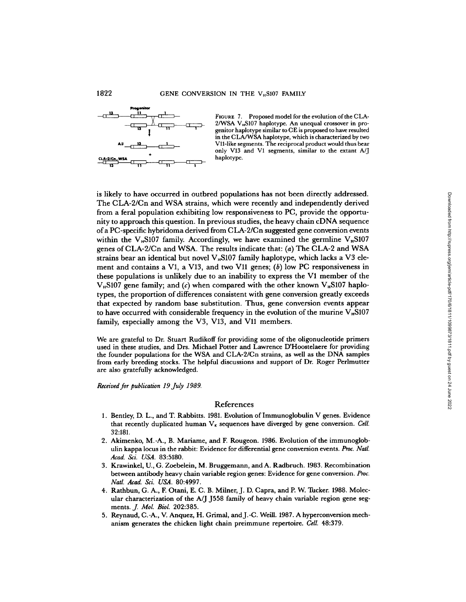

FIGURE 7. Proposed model for the evolution of the CLA- $2/WSA$  V<sub>H</sub>S107 haplotype. An unequal crossover in progenitor haplotype similar to CE is proposed to have resulted in the CLA/WSA haplotype, which is characterized by two V11-like segments. The reciprocal product would thus bear only V13 and VI segments, similar to the extant A/J haplotype.

is likely to have occurred in outbred populations has not been directly addressed . The CLA-2/Cn and WSA strains, which were recently and independently derived from a feral population exhibiting low responsiveness to PC, provide the opportunity to approach this question. In previous studies, the heavy chain cDNA sequence of <sup>a</sup> PC-specific hybridoma derived from CLA-2/Cn suggested gene conversion events within the  $V_{\mu}$ S107 family. Accordingly, we have examined the germline  $V_{\mu}$ S107 genes of CLA-2/Cn and WSA. The results indicate that: (a) The CLA-2 and WSA strains bear an identical but novel  $V_{\mu}$ S107 family haplotype, which lacks a V3 element and contains a V1, a V13, and two V11 genes;  $(b)$  low PC responsiveness in these populations is unlikely due to an inability to express the V1 member of the V<sub>B</sub>S107 gene family; and (c) when compared with the other known V<sub>B</sub>S107 haplotypes, the proportion of differences consistent with gene conversion greatly exceeds that expected by random base substitution . Thus, gene conversion events appear to have occurred with considerable frequency in the evolution of the murine  $V_{\mu}S107$ family, especially among the V3, V13, and V11 members. ey to nave occurred noith or the chicken light chain preime as not one of the copyrrol and a fert proposition and the chicken light chain previous studies, the heavy chain cDNA sequence the copyrrol-<br>
to approach this ques

We are grateful to Dr. Stuart Rudikoff for providing some of the oligonucleotide primers used in these studies, and Drs. Michael Potter and Lawrence D'Hoostelaere for providing the founder populations for the WSA and CLA-2/Cn strains, as well as the DNA samples from early breeding stocks . The helpful discussions and support of Dr. Roger Perlmutter are also gratefully acknowledged.

Received for publication 19July 1989.

#### References

- 1. Bentley, D. L., and T. Rabbitts. 1981. Evolution of Immunoglobulin V genes. Evidence that recently duplicated human  $V_k$  sequences have diverged by gene conversion. Cell. 32:181.
- 2. Akimenko, M.-A., B. Mariame, and F. Rougeon. 1986. Evolution of the immunoglobulin kappa locus in the rabbit: Evidence for differential gene conversion events. Proc. Natl. Acad. Sci. USA. 83:5180.
- 3. Krawinkel, U., G. Zoebelein, M. Bruggemann, and A. Radbruch. 1983. Recombination between antibody heavy chain variable region genes: Evidence for gene conversion. Proc. Natl. Acad. Sci. USA. 80:4997.
- Frank Theat. Str. Och. 80.1557.<br>4. Rathbun, G. A., F. Otani, E. C. B. Milner, J. D. Capra, and P. W. Tucker. 1988. Molec-<br>1. Plan observation in the A. I. 1559 family of bosys chain unright persion gave any ular characterization of the A/J J558 family of heavy chain variable region gene seg-<br>ments.  $J.$  Mol. Biol. 202:385.
- 5. Reynaud, C.-A., V. Anquez, H. Grimal, and J.-C. Weill. 1987. A hyperconversion mechanism generates the chicken light chain preimmune repertoire. Cell. 48:379.